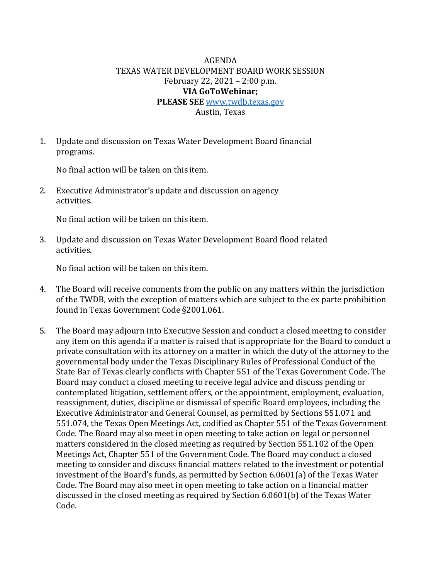## AGENDA TEXAS WATER DEVELOPMENT BOARD WORK SESSION February 22, 2021 – 2:00 p.m. **VIA GoToWebinar; PLEASE SEE** [www.twdb.texas.gov](http://www.twdb.texas.gov/)

Austin, Texas

1. Update and discussion on Texas Water Development Board financial programs.

No final action will be taken on this item.

2. Executive Administrator's update and discussion on agency activities.

No final action will be taken on this item.

3. Update and discussion on Texas Water Development Board flood related activities.

No final action will be taken on this item.

- 4. The Board will receive comments from the public on any matters within the jurisdiction of the TWDB, with the exception of matters which are subject to the ex parte prohibition found in Texas Government Code §2001.061.
- 5. The Board may adjourn into Executive Session and conduct a closed meeting to consider any item on this agenda if a matter is raised that is appropriate for the Board to conduct a private consultation with its attorney on a matter in which the duty of the attorney to the governmental body under the Texas Disciplinary Rules of Professional Conduct of the State Bar of Texas clearly conflicts with Chapter 551 of the Texas Government Code. The Board may conduct a closed meeting to receive legal advice and discuss pending or contemplated litigation, settlement offers, or the appointment, employment, evaluation, reassignment, duties, discipline or dismissal of specific Board employees, including the Executive Administrator and General Counsel, as permitted by Sections 551.071 and 551.074, the Texas Open Meetings Act, codified as Chapter 551 of the Texas Government Code. The Board may also meet in open meeting to take action on legal or personnel matters considered in the closed meeting as required by Section 551.102 of the Open Meetings Act, Chapter 551 of the Government Code. The Board may conduct a closed meeting to consider and discuss financial matters related to the investment or potential investment of the Board's funds, as permitted by Section 6.0601(a) of the Texas Water Code. The Board may also meet in open meeting to take action on a financial matter discussed in the closed meeting as required by Section 6.0601(b) of the Texas Water Code.